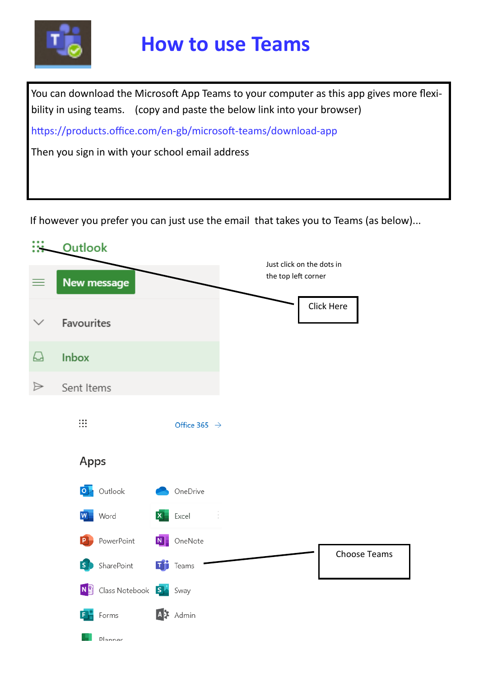

## **How to use Teams**

You can download the Microsoft App Teams to your computer as this app gives more flexibility in using teams. (copy and paste the below link into your browser)

https://products.office.com/en-gb/microsoft-teams/download-app

Then you sign in with your school email address

If however you prefer you can just use the email that takes you to Teams (as below)...

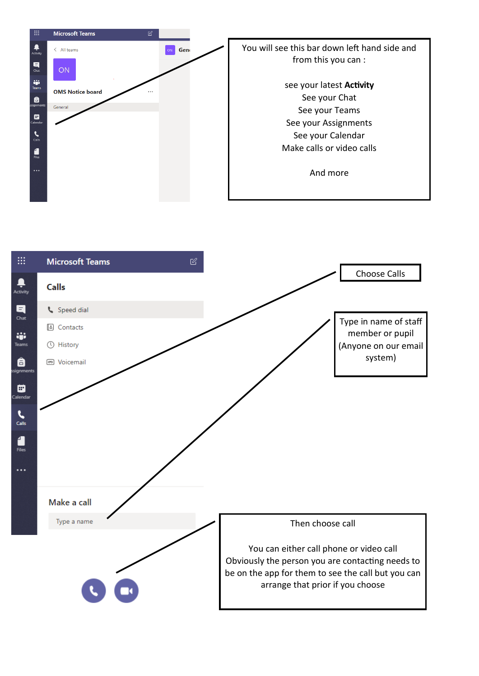